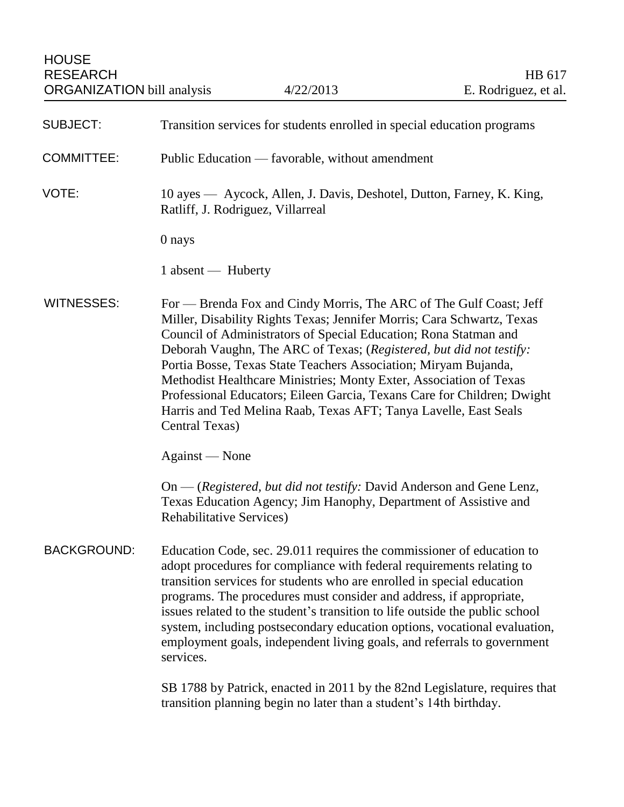| <b>SUBJECT:</b>    | Transition services for students enrolled in special education programs                                                                                                                                                                                                                                                                                                                                                                                                                                                                                                                           |
|--------------------|---------------------------------------------------------------------------------------------------------------------------------------------------------------------------------------------------------------------------------------------------------------------------------------------------------------------------------------------------------------------------------------------------------------------------------------------------------------------------------------------------------------------------------------------------------------------------------------------------|
| <b>COMMITTEE:</b>  | Public Education — favorable, without amendment                                                                                                                                                                                                                                                                                                                                                                                                                                                                                                                                                   |
| VOTE:              | 10 ayes — Aycock, Allen, J. Davis, Deshotel, Dutton, Farney, K. King,<br>Ratliff, J. Rodriguez, Villarreal                                                                                                                                                                                                                                                                                                                                                                                                                                                                                        |
|                    | 0 nays                                                                                                                                                                                                                                                                                                                                                                                                                                                                                                                                                                                            |
|                    | 1 absent — Huberty                                                                                                                                                                                                                                                                                                                                                                                                                                                                                                                                                                                |
| WITNESSES:         | For — Brenda Fox and Cindy Morris, The ARC of The Gulf Coast; Jeff<br>Miller, Disability Rights Texas; Jennifer Morris; Cara Schwartz, Texas<br>Council of Administrators of Special Education; Rona Statman and<br>Deborah Vaughn, The ARC of Texas; (Registered, but did not testify:<br>Portia Bosse, Texas State Teachers Association; Miryam Bujanda,<br>Methodist Healthcare Ministries; Monty Exter, Association of Texas<br>Professional Educators; Eileen Garcia, Texans Care for Children; Dwight<br>Harris and Ted Melina Raab, Texas AFT; Tanya Lavelle, East Seals<br>Central Texas) |
|                    | Against — None                                                                                                                                                                                                                                                                                                                                                                                                                                                                                                                                                                                    |
|                    | On — (Registered, but did not testify: David Anderson and Gene Lenz,<br>Texas Education Agency; Jim Hanophy, Department of Assistive and<br><b>Rehabilitative Services)</b>                                                                                                                                                                                                                                                                                                                                                                                                                       |
| <b>BACKGROUND:</b> | Education Code, sec. 29.011 requires the commissioner of education to<br>adopt procedures for compliance with federal requirements relating to<br>transition services for students who are enrolled in special education<br>programs. The procedures must consider and address, if appropriate,<br>issues related to the student's transition to life outside the public school<br>system, including postsecondary education options, vocational evaluation,<br>employment goals, independent living goals, and referrals to government<br>services.                                              |
|                    | SB 1788 by Patrick, enacted in 2011 by the 82nd Legislature, requires that<br>transition planning begin no later than a student's 14th birthday.                                                                                                                                                                                                                                                                                                                                                                                                                                                  |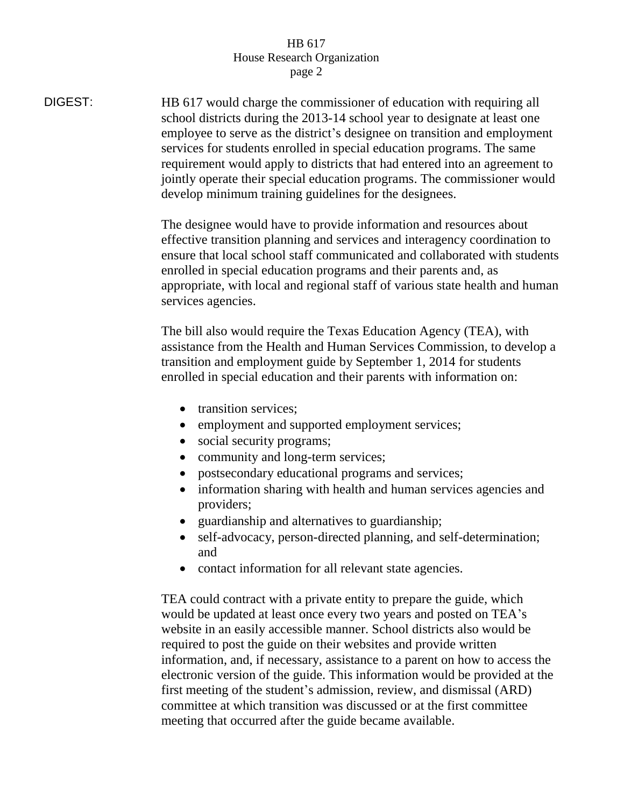## HB 617 House Research Organization page 2

DIGEST: HB 617 would charge the commissioner of education with requiring all school districts during the 2013-14 school year to designate at least one employee to serve as the district's designee on transition and employment services for students enrolled in special education programs. The same requirement would apply to districts that had entered into an agreement to jointly operate their special education programs. The commissioner would develop minimum training guidelines for the designees. The designee would have to provide information and resources about effective transition planning and services and interagency coordination to ensure that local school staff communicated and collaborated with students enrolled in special education programs and their parents and, as appropriate, with local and regional staff of various state health and human services agencies. The bill also would require the Texas Education Agency (TEA), with assistance from the Health and Human Services Commission, to develop a transition and employment guide by September 1, 2014 for students enrolled in special education and their parents with information on: • transition services; • employment and supported employment services; • social security programs; • community and long-term services; postsecondary educational programs and services; • information sharing with health and human services agencies and providers; guardianship and alternatives to guardianship; self-advocacy, person-directed planning, and self-determination; and • contact information for all relevant state agencies. TEA could contract with a private entity to prepare the guide, which would be updated at least once every two years and posted on TEA's website in an easily accessible manner. School districts also would be required to post the guide on their websites and provide written information, and, if necessary, assistance to a parent on how to access the electronic version of the guide. This information would be provided at the first meeting of the student's admission, review, and dismissal (ARD) committee at which transition was discussed or at the first committee meeting that occurred after the guide became available.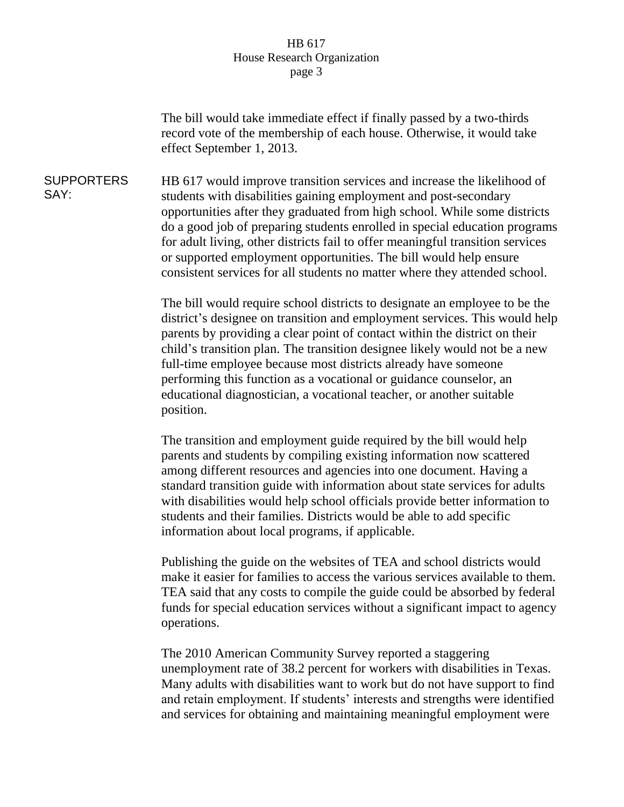## HB 617 House Research Organization page 3

The bill would take immediate effect if finally passed by a two-thirds record vote of the membership of each house. Otherwise, it would take effect September 1, 2013.

SUPPORTERS SAY: HB 617 would improve transition services and increase the likelihood of students with disabilities gaining employment and post-secondary opportunities after they graduated from high school. While some districts do a good job of preparing students enrolled in special education programs for adult living, other districts fail to offer meaningful transition services or supported employment opportunities. The bill would help ensure consistent services for all students no matter where they attended school.

> The bill would require school districts to designate an employee to be the district's designee on transition and employment services. This would help parents by providing a clear point of contact within the district on their child's transition plan. The transition designee likely would not be a new full-time employee because most districts already have someone performing this function as a vocational or guidance counselor, an educational diagnostician, a vocational teacher, or another suitable position.

The transition and employment guide required by the bill would help parents and students by compiling existing information now scattered among different resources and agencies into one document. Having a standard transition guide with information about state services for adults with disabilities would help school officials provide better information to students and their families. Districts would be able to add specific information about local programs, if applicable.

Publishing the guide on the websites of TEA and school districts would make it easier for families to access the various services available to them. TEA said that any costs to compile the guide could be absorbed by federal funds for special education services without a significant impact to agency operations.

The 2010 American Community Survey reported a staggering unemployment rate of 38.2 percent for workers with disabilities in Texas. Many adults with disabilities want to work but do not have support to find and retain employment. If students' interests and strengths were identified and services for obtaining and maintaining meaningful employment were